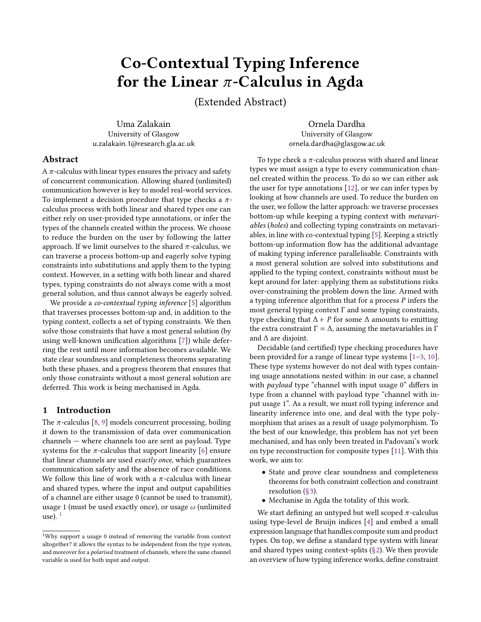# Co-Contextual Typing Inference for the Linear  $\pi$ -Calculus in Agda

(Extended Abstract)

Uma Zalakain University of Glasgow u.zalakain.1@research.gla.ac.uk

Ornela Dardha University of Glasgow ornela.dardha@glasgow.ac.uk

# Abstract

A  $\pi$ -calculus with linear types ensures the privacy and safety of concurrent communication. Allowing shared (unlimited) communication however is key to model real-world services. To implement a decision procedure that type checks a  $\pi$ calculus process with both linear and shared types one can either rely on user-provided type annotations, or infer the types of the channels created within the process. We choose to reduce the burden on the user by following the latter approach. If we limit ourselves to the shared  $\pi$ -calculus, we can traverse a process bottom-up and eagerly solve typing constraints into substitutions and apply them to the typing context. However, in a setting with both linear and shared types, typing constraints do not always come with a most general solution, and thus cannot always be eagerly solved.

We provide a *co-contextual typing inference* [\[5\]](#page-2-0) algorithm that traverses processes bottom-up and, in addition to the typing context, collects a set of typing constraints. We then solve those constraints that have a most general solution (by using well-known unification algorithms [\[7\]](#page-3-0)) while deferring the rest until more information becomes available. We state clear soundness and completeness theorems separating both these phases, and a progress theorem that ensures that only those constraints without a most general solution are deferred. This work is being mechanised in Agda.

## 1 Introduction

The  $\pi$ -calculus [\[8,](#page-3-1) [9\]](#page-3-2) models concurrent processing, boiling it down to the transmission of data over communication channels — where channels too are sent as payload. Type systems for the  $\pi$ -calculus that support linearity [\[6\]](#page-3-3) ensure that linear channels are used exactly once, which guarantees communication safety and the absence of race conditions. We follow this line of work with a  $\pi$ -calculus with linear and shared types, where the input and output capabilities of a channel are either usage 0 (cannot be used to transmit), usage 1 (must be used exactly once), or usage  $\omega$  (unlimited use).  $<sup>1</sup>$  $<sup>1</sup>$  $<sup>1</sup>$ </sup>

To type check a  $\pi$ -calculus process with shared and linear types we must assign a type to every communication channel created within the process. To do so we can either ask the user for type annotations [\[12\]](#page-3-4), or we can infer types by looking at how channels are used. To reduce the burden on the user, we follow the latter approach: we traverse processes bottom-up while keeping a typing context with metavariables (holes) and collecting typing constraints on metavariables, in line with co-contextual typing [\[5\]](#page-2-0). Keeping a strictly bottom-up information flow has the additional advantage of making typing inference parallelisable. Constraints with a most general solution are solved into substitutions and applied to the typing context, constraints without must be kept around for later: applying them as substitutions risks over-constraining the problem down the line. Armed with a typing inference algorithm that for a process P infers the most general typing context Γ and some typing constraints, type checking that  $\Delta$  ⊢ P for some  $\Delta$  amounts to emitting the extra constraint  $Γ = Δ$ , assuming the metavariables in Γ and ∆ are disjoint.

Decidable (and certified) type checking procedures have been provided for a range of linear type systems [\[1](#page-2-1)[–3,](#page-2-2) [10\]](#page-3-5). These type systems however do not deal with types containing usage annotations nested within: in our case, a channel with *payload* type "channel with input usage 0" differs in type from a channel with payload type "channel with input usage 1". As a result, we must roll typing inference and linearity inference into one, and deal with the type polymorphism that arises as a result of usage polymorphism. To the best of our knowledge, this problem has not yet been mechanised, and has only been treated in Padovani's work on type reconstruction for composite types [\[11\]](#page-3-6). With this work, we aim to:

- State and prove clear soundness and completeness theorems for both constraint collection and constraint resolution [\(§3\)](#page-1-0).
- Mechanise in Agda the totality of this work.

We start defining an untyped but well scoped  $\pi$ -calculus using type-level de Bruijn indices [\[4\]](#page-2-3) and embed a small expression language that handles composite sum and product types. On top, we define a standard type system with linear and shared types using context-splits [\(§2\)](#page-1-1). We then provide an overview of how typing inference works, define constraint

<span id="page-0-0"></span><sup>1</sup>Why support a usage 0 instead of removing the variable from context altogether? it allows the syntax to be independent from the type system, and moreover for a polarised treatment of channels, where the same channel variable is used for both input and output.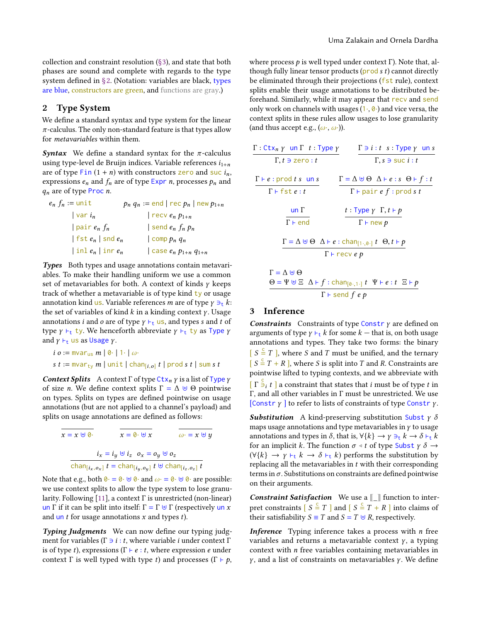collection and constraint resolution [\(§3\)](#page-1-0), and state that both phases are sound and complete with regards to the type system defined in [§2.](#page-1-1) (Notation: variables are black, types are blue, constructors are green, and functions are gray.)

# <span id="page-1-1"></span>2 Type System

We define a standard syntax and type system for the linear  $\pi$ -calculus. The only non-standard feature is that types allow for metavariables within them.

**Syntax** We define a standard syntax for the  $\pi$ -calculus using type-level de Bruijn indices. Variable references  $i_{1+n}$ are of type Fin  $(1 + n)$  with constructors zero and suc  $i_n$ , expressions  $e_n$  and  $f_n$  are of type Expr *n*, processes  $p_n$  and  $q_n$  are of type Proc n.

| $e_n f_n := \text{unit}$            | $p_n q_n := \text{end} \mid \text{rec } p_n \mid \text{new } p_{1+n}$ |
|-------------------------------------|-----------------------------------------------------------------------|
| $vari_n$                            | $\vert$ recv $e_n p_{1+n}$                                            |
| pair $e_n$ $f_n$                    | send $e_n f_n p_n$                                                    |
| fst $e_n$   snd $e_n$               | $\vert$ comp $p_n$ $q_n$                                              |
| $\vert$ inl $e_n$ $\vert$ inr $e_n$ | $\vert$ case $e_n$ $p_{1+n}$ $q_{1+n}$                                |
|                                     |                                                                       |

Types Both types and usage annotations contain metavariables. To make their handling uniform we use a common set of metavariables for both. A context of kinds  $\gamma$  keeps track of whether a metavariable is of type kind  $ty$  or usage annotation kind us. Variable references *m* are of type  $\gamma \ni_t k$ : the set of variables of kind  $k$  in a kinding context  $\gamma$ . Usage annotations *i* and *o* are of type  $\gamma$   $\vdash_t$  us, and types *s* and *t* of type  $\gamma$   $\vdash_t$  ty. We henceforth abbreviate  $\gamma$   $\vdash_t$  ty as Type  $\gamma$ and  $\gamma$   $\vdash_t$  us as Usage  $\gamma$ .

$$
i \ o := \text{mvar}_{us} \ m \mid \emptyset \cdot \mid 1 \cdot \mid \omega \cdot
$$
\n
$$
s \ t := \text{mvar}_{ty} \ m \mid \text{unit} \mid \text{chan}_{[i,o]} \ t \mid \text{prod} \ s \ t \mid \text{sum} \ s
$$

**Context Splits** A context  $\Gamma$  of type Ctx<sub>n</sub>  $\gamma$  is a list of Type  $\gamma$ of size *n*. We define context splits  $\Gamma = \Delta \uplus \Theta$  pointwise on types. Splits on types are defined pointwise on usage annotations (but are not applied to a channel's payload) and splits on usage annotations are defined as follows:

$$
\overline{x} = x \cup 0.
$$
\n
$$
\overline{x} = 0 \cup x
$$
\n
$$
\overline{x} = 0 \cup x
$$
\n
$$
\overline{x} = 0 \cup \overline{x}
$$
\n
$$
\overline{x} = 0 \cup \overline{x}
$$
\n
$$
\overline{x} = 0 \cup \overline{x}
$$
\n
$$
\overline{a} = x \cup y
$$
\n
$$
\overline{b} = 0 \cup x
$$
\n
$$
\overline{b} = 0 \cup x
$$
\n
$$
\overline{b} = 0 \cup x
$$
\n
$$
\overline{b} = 0 \cup x
$$
\n
$$
\overline{b} = 0 \cup x
$$
\n
$$
\overline{b} = 0 \cup x
$$
\n
$$
\overline{b} = 0 \cup x
$$
\n
$$
\overline{b} = 0 \cup x
$$
\n
$$
\overline{a} = 0 \cup x
$$
\n
$$
\overline{a} = 0 \cup x
$$
\n
$$
\overline{a} = 0 \cup x
$$
\n
$$
\overline{a} = 0 \cup x
$$
\n
$$
\overline{a} = 0 \cup x
$$
\n
$$
\overline{a} = 0 \cup x
$$
\n
$$
\overline{a} = 0 \cup x
$$
\n
$$
\overline{a} = 0 \cup x
$$
\n
$$
\overline{a} = 0 \cup x
$$
\n
$$
\overline{a} = 0 \cup x
$$
\n
$$
\overline{a} = 0 \cup x
$$
\n
$$
\overline{a} = 0 \cup x
$$
\n
$$
\overline{a} = 0 \cup x
$$
\n
$$
\overline{a} = 0 \cup x
$$
\n
$$
\overline{a} = 0 \cup x
$$
\n
$$
\overline{a} = 0 \cup x
$$
\n
$$
\overline{a} = 0 \cup x
$$
\n
$$
\overline{a} = 0 \cup x
$$
\n
$$
\overline{a} = 0 \cup x
$$
\n
$$
\overline{a} = 0 \cup x
$$
\n
$$
\overline{a} = 0 \cup x
$$
\n
$$
\over
$$

Note that e.g., both  $\mathbf{0} \cdot \mathbf{0} \cdot \mathbf{0} \cdot \mathbf{0} \cdot \mathbf{0} = \mathbf{0} \cdot \mathbf{0} \cdot \mathbf{0} \cdot \mathbf{0}$  are possible: we use context splits to allow the type system to lose granularity. Following [\[11\]](#page-3-6), a context Γ is unrestricted (non-linear) un Γ if it can be split into itself:  $\Gamma = \Gamma \cup \Gamma$  (respectively un x and un  $t$  for usage annotations  $x$  and types  $t$ ).

Typing Judgments We can now define our typing judgment for variables ( $\Gamma \ni i : t$ , where variable *i* under context  $\Gamma$ is of type t), expressions ( $\Gamma \vdash e : t$ , where expression e under context Γ is well typed with type t) and processes ( $\Gamma \vdash p$ ,

where process  $p$  is well typed under context Γ). Note that, although fully linear tensor products ( $\text{prod } s t$ ) cannot directly be eliminated through their projections (fst rule), context splits enable their usage annotations to be distributed beforehand. Similarly, while it may appear that recv and send only work on channels with usages  $(1, 0)$  and vice versa, the context splits in these rules allow usages to lose granularity (and thus accept e.g.,  $(\omega, \omega)$ ).

| $\Gamma: \mathsf{Ctx}_n$ $\gamma$ un $\Gamma$ $t: \mathsf{Type}\ \gamma$ | $\Gamma \ni i : t \; s : \text{Type } \gamma \; \text{ un } s$                                                      |
|--------------------------------------------------------------------------|---------------------------------------------------------------------------------------------------------------------|
| $\Gamma, t \ni$ zero : t                                                 | $\Gamma$ , s $\exists$ suc <i>i</i> : <i>t</i>                                                                      |
| $\Gamma \vdash e : \text{prod } t \text{ s}$ un s                        | $\Gamma = \Delta \uplus \Theta$ $\Delta \vdash e : s \Theta \vdash f : t$                                           |
| $\Gamma \vdash \textsf{fst} \, e : t$                                    | $\Gamma \vdash$ pair e f : prod s t                                                                                 |
| $un \Gamma$<br>$\Gamma$ + end                                            | $t: \text{Type } \gamma \Gamma, t \vdash p$<br>$\Gamma \vdash$ new $p$                                              |
|                                                                          | $\Gamma = \Delta \uplus \Theta \quad \Delta \vdash e : \text{chan}_{[1 \cdot, 0 \cdot]} t \quad \Theta, t \vdash p$ |
|                                                                          | $\Gamma$ $\vdash$ recv e p                                                                                          |
| $\Gamma = \Delta \uplus \Theta$                                          | $\Theta = \Psi \boxplus \Xi$ $\Lambda \vdash f \cdot chanc$ , $\Box t$ $\Psi \vdash e \cdot t$ $\Xi \vdash b$       |

$$
\frac{\Theta = \Psi \uplus \Xi \ \Delta \vdash f : \text{chan}_{[\emptyset \cdot, 1 \cdot]} t \ \Psi \vdash e : t \ \Xi \vdash p}{\Gamma \vdash \text{send } f \ e \ p}
$$

# <span id="page-1-0"></span>3 Inference

**Constraints** Constraints of type Constr  $\gamma$  are defined on arguments of type  $\gamma \vdash_{t} k$  for some  $k$  — that is, on both usage annotations and types. They take two forms: the binary  $[S \stackrel{\mathsf{c}}{=} T]$ , where S and T must be unified, and the ternary  $[S = T + R]$ , where S is split into T and R. Constraints are pointwise lifted to typing contexts, and we abbreviate with  $\left[\Gamma^{\frac{S}{2}}; t\right]$  a constraint that states that *i* must be of type *t* in Γ, and all other variables in Γ must be unrestricted. We use [Constr  $\gamma$  ] to refer to lists of constraints of type Constr  $\gamma$ .

**Substitution** A kind-preserving substitution Subst  $\gamma$   $\delta$ maps usage annotations and type metavariables in  $\gamma$  to usage annotations and types in  $\delta$ , that is,  $\forall \{k\} \rightarrow \gamma \ni_t k \rightarrow \delta \vdash_t k$ for an implicit k. The function  $\sigma \triangleleft t$  of type Subst  $\gamma \delta \rightarrow$  $(\forall \{k\} \rightarrow \gamma \vdash_{\mathsf{t}} k \rightarrow \delta \vdash_{\mathsf{t}} k)$  performs the substitution by replacing all the metavariables in  $t$  with their corresponding terms in  $\sigma$ . Substitutions on constraints are defined pointwise on their arguments.

**Constraint Satisfaction** We use a  $\llbracket \ \ \rbrack$  function to interpret constraints  $\begin{bmatrix} S \leq T \end{bmatrix}$  and  $\begin{bmatrix} S \leq T + R \end{bmatrix}$  into claims of their satisfiability  $S \equiv T$  and  $S = T \oplus R$ , respectively.

Inference Typing inference takes a process with *n* free variables and returns a metavariable context  $\gamma$ , a typing context with n free variables containing metavariables in  $γ$ , and a list of constraints on metavariables  $γ$ . We define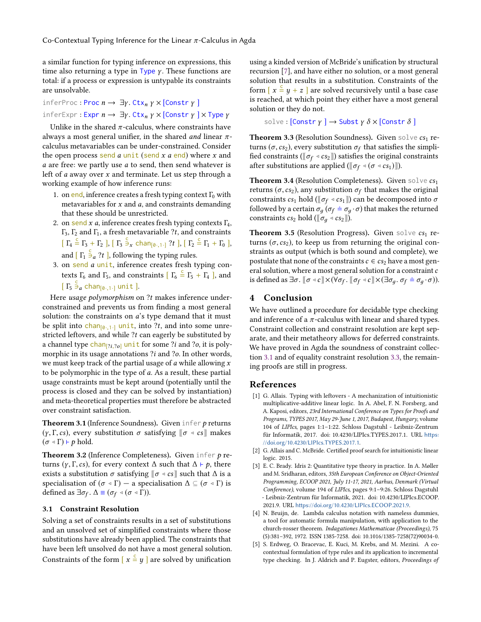a similar function for typing inference on expressions, this time also returning a type in Type  $\gamma$ . These functions are total: if a process or expression is untypable its constraints are unsolvable.

inferProc: Proc  $n \to \exists y$ . Ctx<sub>n</sub>  $y \times$  [Constr  $y$ ] inferExpr: Expr  $n \to \exists y$ . Ctx<sub>n</sub>  $y \times$  [Constr  $y$ ]  $\times$  Type  $y$ 

Unlike in the shared  $\pi$ -calculus, where constraints have always a most general unifier, in the shared *and* linear  $\pi$ calculus metavariables can be under-constrained. Consider the open process send a unit (send  $x$  a end) where  $x$  and  $a$  are free: we partly use  $a$  to send, then send whatever is left of  $a$  away over  $x$  and terminate. Let us step through a working example of how inference runs:

- 1. on end, inference creates a fresh typing context  $\Gamma_0$  with metavariables for  $x$  and  $a$ , and constraints demanding that these should be unrestricted.
- 2. on send *x a*, inference creates fresh typing contexts  $\Gamma_4$ ,  $\Gamma_3$ ,  $\Gamma_2$  and  $\Gamma_1$ , a fresh metavariable ?*t*, and constraints Γ<sub>3</sub>, Γ<sub>2</sub> and Γ<sub>1</sub>, a fresh metavariable ?t, and constraints  $\left[\Gamma_4 \stackrel{c}{=} \Gamma_3 + \Gamma_2 \right]$ ,  $\left[\Gamma_3 \stackrel{c}{\ni}_{\mathcal{X}} \text{chan}_{\left[\emptyset,1\right]} \left| \mathcal{U} \right.\right]$ ,  $\left[\Gamma_2 \stackrel{c}{=} \Gamma_1 + \Gamma_0 \right]$ , and  $\left[\Gamma_1 \stackrel{\circ}{\ni}_a ?t\right]$ , following the typing rules.
- 3. on send a unit, inference creates fresh typing contexts  $\Gamma_6$  and  $\Gamma_5$ , and constraints  $\Gamma_6 \stackrel{c}{=} \Gamma_5 + \Gamma_4$  ], and  $\left[\right.\Gamma_{5}\right.\frac{S}{\Rightarrow}a\left.\text{chan}_{\left[\emptyset\cdot,1\cdot\right]}\right.\text{unit}.$

Here usage polymorphism on ?t makes inference underconstrained and prevents us from finding a most general solution: the constraints on a's type demand that it must be split into chan<sub>[0.1</sub>] unit, into ?t, and into some unrestricted leftovers, and while ?t can eagerly be substituted by a channel type chan $[i, j_0]$  unit for some ?i and ?o, it is polymorphic in its usage annotations ?i and ?o. In other words, we must keep track of the partial usage of  $a$  while allowing  $x$ to be polymorphic in the type of a. As a result, these partial usage constraints must be kept around (potentially until the process is closed and they can be solved by instantiation) and meta-theoretical properties must therefore be abstracted over constraint satisfaction.

<span id="page-2-4"></span>**Theorem 3.1** (Inference Soundness). Given infer  $p$  returns (γ, Γ, cs), every substitution  $\sigma$  satisfying  $\lbrack \sigma \triangleleft cs \rbrack$  makes  $(\sigma \triangleleft \Gamma) \vdash p$  hold.

**Theorem 3.2** (Inference Completeness). Given infer  $p$  returns (*γ*, Γ, *cs*), for every context Δ such that  $Δ$  ⊢ *p*, there exists a substitution  $\sigma$  satisfying  $[\![ \sigma \triangleleft c s ]\!]$  such that  $\Delta$  is a specialisation of  $(\sigma \triangleleft \Gamma)$  – a specialisation  $\Delta \subseteq (\sigma \triangleleft \Gamma)$  is defined as  $\exists \sigma_f$ .  $\Delta \equiv (\sigma_f \triangleleft (\sigma \triangleleft \Gamma))$ .

### 3.1 Constraint Resolution

Solving a set of constraints results in a set of substitutions and an unsolved set of simplified constraints where those substitutions have already been applied. The constraints that have been left unsolved do not have a most general solution. Constraints of the form  $[x \stackrel{c}{=} y]$  are solved by unification

using a kinded version of McBride's unification by structural recursion [\[7\]](#page-3-0), and have either no solution, or a most general solution that results in a substitution. Constraints of the form  $[x \stackrel{c}{=} y + z]$  are solved recursively until a base case is reached, at which point they either have a most general solution or they do not.

solve:  $[Construct] \rightarrow Subst \gamma \delta \times [Construct]$ 

<span id="page-2-5"></span>**Theorem 3.3** (Resolution Soundness). Given solve  $cs_1$  returns ( $\sigma$ ,  $cs_2$ ), every substitution  $\sigma_f$  that satisfies the simplified constraints ( $\mathbb{F} \sigma_s$   $\alpha$   $cs_1$ )) satisfies the original constraints fied constraints ( $[\![\sigma_f \triangleleft cs_2]\!]$ ) satisfies the original constraints after substitutions are applied ( $[\![\sigma_f \triangleleft (\sigma \triangleleft cs_1)]\!]$ ).

**Theorem 3.4** (Resolution Completeness). Given solve  $cs_1$ returns ( $\sigma$ , cs<sub>2</sub>), any substitution  $\sigma_f$  that makes the original<br>constraints cs. hold ( $\pi$ s 4 cs. )) can be decomposed into  $\sigma$ constraints  $cs_1$  hold ( $[\![\sigma_f \triangleleft cs_1]\!]$ ) can be decomposed into  $\sigma$ followed by a certain  $\sigma_q$  ( $\sigma_f \doteq \sigma_q \cdot \sigma$ ) that makes the returned constraints  $cs_2$  hold ( $[\![\sigma_q \triangleleft cs_2]\!]$ ).

**Theorem 3.5** (Resolution Progress). Given solve  $cs_1$  returns ( $\sigma$ ,  $cs_2$ ), to keep us from returning the original constraints as output (which is both sound and complete), we postulate that none of the constraints  $c \in cs_2$  have a most general solution, where a most general solution for a constraint  $c$ is defined as  $\exists \sigma$ .  $[\![\sigma \triangleleft c]\!] \times (\forall \sigma_f$ .  $[\![\sigma_f \triangleleft c]\!] \times (\exists \sigma_g, \sigma_f \doteq \sigma_g \cdot \sigma)$ ).

## 4 Conclusion

We have outlined a procedure for decidable type checking and inference of a  $\pi$ -calculus with linear and shared types. Constraint collection and constraint resolution are kept separate, and their metatheory allows for deferred constraints. We have proved in Agda the soundness of constraint collection [3.1](#page-2-4) and of equality constraint resolution [3.3,](#page-2-5) the remaining proofs are still in progress.

#### References

- <span id="page-2-1"></span>[1] G. Allais. Typing with leftovers - A mechanization of intuitionistic multiplicative-additive linear logic. In A. Abel, F. N. Forsberg, and A. Kaposi, editors, 23rd International Conference on Types for Proofs and Programs, TYPES 2017, May 29-June 1, 2017, Budapest, Hungary, volume 104 of LIPIcs, pages 1:1–1:22. Schloss Dagstuhl - Leibniz-Zentrum für Informatik, 2017. doi: 10.4230/LIPIcs.TYPES.2017.1. URL [https:](https://doi.org/10.4230/LIPIcs.TYPES.2017.1) [//doi.org/10.4230/LIPIcs.TYPES.2017.1](https://doi.org/10.4230/LIPIcs.TYPES.2017.1).
- [2] G. Allais and C. McBride. Certified proof search for intuitionistic linear logic. 2015.
- <span id="page-2-2"></span>[3] E. C. Brady. Idris 2: Quantitative type theory in practice. In A. Møller and M. Sridharan, editors, 35th European Conference on Object-Oriented Programming, ECOOP 2021, July 11-17, 2021, Aarhus, Denmark (Virtual Conference), volume 194 of LIPIcs, pages 9:1–9:26. Schloss Dagstuhl - Leibniz-Zentrum für Informatik, 2021. doi: 10.4230/LIPIcs.ECOOP. 2021.9. URL <https://doi.org/10.4230/LIPIcs.ECOOP.2021.9>.
- <span id="page-2-3"></span>[4] N. Bruijn, de. Lambda calculus notation with nameless dummies, a tool for automatic formula manipulation, with application to the church-rosser theorem. Indagationes Mathematicae (Proceedings), 75 (5):381–392, 1972. ISSN 1385-7258. doi: 10.1016/1385-7258(72)90034-0.
- <span id="page-2-0"></span>[5] S. Erdweg, O. Bracevac, E. Kuci, M. Krebs, and M. Mezini. A cocontextual formulation of type rules and its application to incremental type checking. In J. Aldrich and P. Eugster, editors, Proceedings of